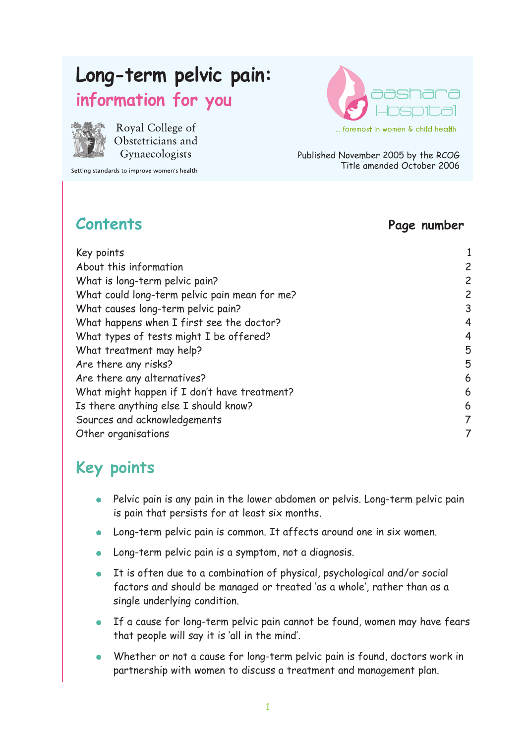# **Long-term pelvic pain:**

#### **information for you**



Royal College of Obstetricians and Gynaecologists

Setting standards to improve women's health



Published November 2005 by the RCOG Title amended October 2006

#### **Contents Page number**

| Key points                                    |                |
|-----------------------------------------------|----------------|
| About this information                        | 2              |
| What is long-term pelvic pain?                | $\overline{c}$ |
| What could long-term pelvic pain mean for me? | $\overline{c}$ |
| What causes long-term pelvic pain?            | 3              |
| What happens when I first see the doctor?     | 4              |
| What types of tests might I be offered?       | 4              |
| What treatment may help?                      | 5              |
| Are there any risks?                          | 5              |
| Are there any alternatives?                   | 6              |
| What might happen if I don't have treatment?  | 6              |
| Is there anything else I should know?         | 6              |
| Sources and acknowledgements                  | 7              |
| Other organisations                           | 7              |

## **Key points**

- Pelvic pain is any pain in the lower abdomen or pelvis. Long-term pelvic pain is pain that persists for at least six months.
- Long-term pelvic pain is common. It affects around one in six women.
- Long-term pelvic pain is a symptom, not a diagnosis.
- It is often due to a combination of physical, psychological and/or social factors and should be managed or treated 'as a whole', rather than as a single underlying condition.
- **If a cause for long-term pelvic pain cannot be found, women may have fears** that people will say it is 'all in the mind'.
- Whether or not a cause for long-term pelvic pain is found, doctors work in partnership with women to discuss a treatment and management plan.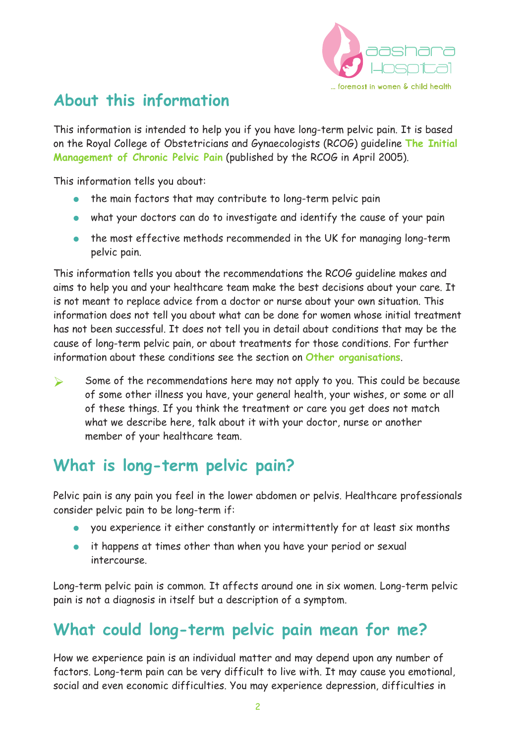

#### **About this information**

This information is intended to help you if you have long-term pelvic pain. It is based on the Royal College of Obstetricians and Gynaecologists (RCOG) guideline **The Initial Management of Chronic Pelvic Pain** (published by the RCOG in April 2005).

This information tells you about:

- the main factors that may contribute to long-term pelvic pain
- what your doctors can do to investigate and identify the cause of your pain
- the most effective methods recommended in the UK for managing long-term pelvic pain.

This information tells you about the recommendations the RCOG guideline makes and aims to help you and your healthcare team make the best decisions about your care. It is not meant to replace advice from a doctor or nurse about your own situation. This information does not tell you about what can be done for women whose initial treatment has not been successful. It does not tell you in detail about conditions that may be the cause of long-term pelvic pain, or about treatments for those conditions. For further information about these conditions see the section on **Other organisations**.

 $\triangleright$  Some of the recommendations here may not apply to you. This could be because of some other illness you have, your general health, your wishes, or some or all of these things. If you think the treatment or care you get does not match what we describe here, talk about it with your doctor, nurse or another member of your healthcare team.

#### **What is long-term pelvic pain?**

Pelvic pain is any pain you feel in the lower abdomen or pelvis. Healthcare professionals consider pelvic pain to be long-term if:

- you experience it either constantly or intermittently for at least six months
- it happens at times other than when you have your period or sexual intercourse.

Long-term pelvic pain is common. It affects around one in six women. Long-term pelvic pain is not a diagnosis in itself but a description of a symptom.

#### **What could long-term pelvic pain mean for me?**

How we experience pain is an individual matter and may depend upon any number of factors. Long-term pain can be very difficult to live with. It may cause you emotional, social and even economic difficulties. You may experience depression, difficulties in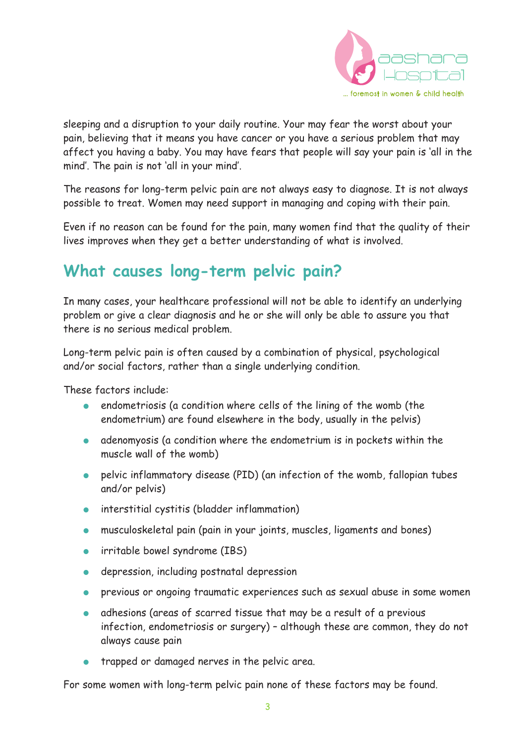

sleeping and a disruption to your daily routine. Your may fear the worst about your pain, believing that it means you have cancer or you have a serious problem that may affect you having a baby. You may have fears that people will say your pain is 'all in the mind'. The pain is not 'all in your mind'.

The reasons for long-term pelvic pain are not always easy to diagnose. It is not always possible to treat. Women may need support in managing and coping with their pain.

Even if no reason can be found for the pain, many women find that the quality of their lives improves when they get a better understanding of what is involved.

#### **What causes long-term pelvic pain?**

In many cases, your healthcare professional will not be able to identify an underlying problem or give a clear diagnosis and he or she will only be able to assure you that there is no serious medical problem.

Long-term pelvic pain is often caused by a combination of physical, psychological and/or social factors, rather than a single underlying condition.

These factors include:

- endometriosis (a condition where cells of the lining of the womb (the endometrium) are found elsewhere in the body, usually in the pelvis)
- adenomyosis (a condition where the endometrium is in pockets within the muscle wall of the womb)
- pelvic inflammatory disease (PID) (an infection of the womb, fallopian tubes and/or pelvis)
- interstitial cystitis (bladder inflammation)
- musculoskeletal pain (pain in your joints, muscles, ligaments and bones)
- irritable bowel syndrome (IBS)
- depression, including postnatal depression
- previous or ongoing traumatic experiences such as sexual abuse in some women
- adhesions (areas of scarred tissue that may be a result of a previous infection, endometriosis or surgery) – although these are common, they do not always cause pain
- trapped or damaged nerves in the pelvic area.

For some women with long-term pelvic pain none of these factors may be found.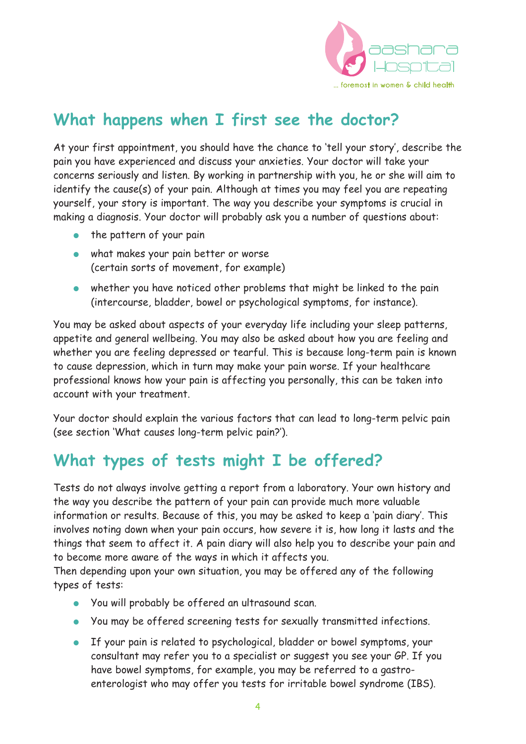

#### **What happens when I first see the doctor?**

At your first appointment, you should have the chance to 'tell your story', describe the pain you have experienced and discuss your anxieties. Your doctor will take your concerns seriously and listen. By working in partnership with you, he or she will aim to identify the cause(s) of your pain. Although at times you may feel you are repeating yourself, your story is important. The way you describe your symptoms is crucial in making a diagnosis. Your doctor will probably ask you a number of questions about:

- the pattern of your pain
- what makes your pain better or worse (certain sorts of movement, for example)
- whether you have noticed other problems that might be linked to the pain (intercourse, bladder, bowel or psychological symptoms, for instance).

You may be asked about aspects of your everyday life including your sleep patterns, appetite and general wellbeing. You may also be asked about how you are feeling and whether you are feeling depressed or tearful. This is because long-term pain is known to cause depression, which in turn may make your pain worse. If your healthcare professional knows how your pain is affecting you personally, this can be taken into account with your treatment.

Your doctor should explain the various factors that can lead to long-term pelvic pain (see section 'What causes long-term pelvic pain?').

## **What types of tests might I be offered?**

Tests do not always involve getting a report from a laboratory. Your own history and the way you describe the pattern of your pain can provide much more valuable information or results. Because of this, you may be asked to keep a 'pain diary'. This involves noting down when your pain occurs, how severe it is, how long it lasts and the things that seem to affect it. A pain diary will also help you to describe your pain and to become more aware of the ways in which it affects you.

Then depending upon your own situation, you may be offered any of the following types of tests:

- You will probably be offered an ultrasound scan.
- You may be offered screening tests for sexually transmitted infections.
- If your pain is related to psychological, bladder or bowel symptoms, your consultant may refer you to a specialist or suggest you see your GP. If you have bowel symptoms, for example, you may be referred to a gastroenterologist who may offer you tests for irritable bowel syndrome (IBS).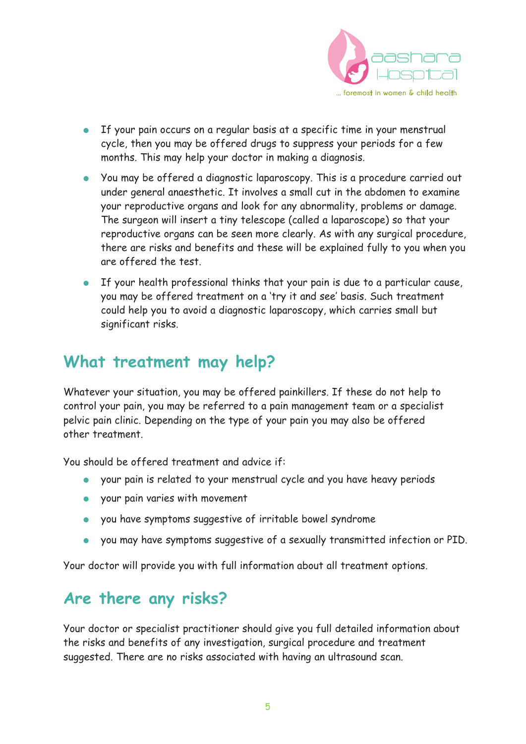

- If your pain occurs on a regular basis at a specific time in your menstrual cycle, then you may be offered drugs to suppress your periods for a few months. This may help your doctor in making a diagnosis.
- You may be offered a diagnostic laparoscopy. This is a procedure carried out under general anaesthetic. It involves a small cut in the abdomen to examine your reproductive organs and look for any abnormality, problems or damage. The surgeon will insert a tiny telescope (called a laparoscope) so that your reproductive organs can be seen more clearly. As with any surgical procedure, there are risks and benefits and these will be explained fully to you when you are offered the test.
- If your health professional thinks that your pain is due to a particular cause, you may be offered treatment on a 'try it and see' basis. Such treatment could help you to avoid a diagnostic laparoscopy, which carries small but significant risks.

#### **What treatment may help?**

Whatever your situation, you may be offered painkillers. If these do not help to control your pain, you may be referred to a pain management team or a specialist pelvic pain clinic. Depending on the type of your pain you may also be offered other treatment.

You should be offered treatment and advice if:

- your pain is related to your menstrual cycle and you have heavy periods
- your pain varies with movement
- you have symptoms suggestive of irritable bowel syndrome
- you may have symptoms suggestive of a sexually transmitted infection or PID.

Your doctor will provide you with full information about all treatment options.

#### **Are there any risks?**

Your doctor or specialist practitioner should give you full detailed information about the risks and benefits of any investigation, surgical procedure and treatment suggested. There are no risks associated with having an ultrasound scan.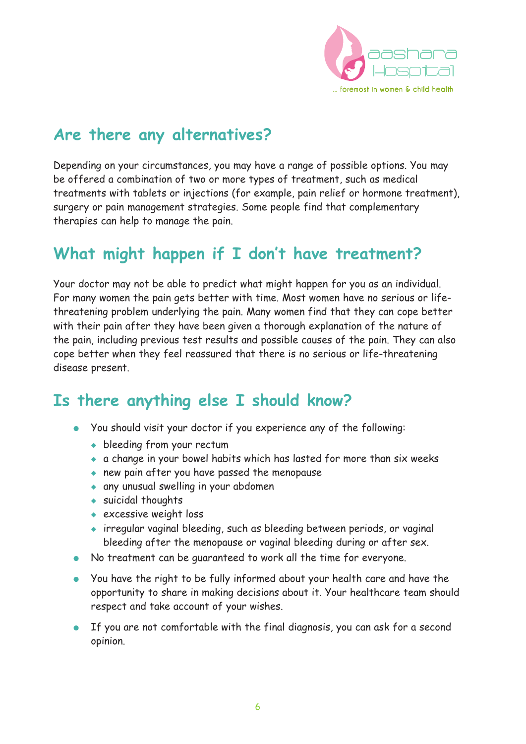

#### **Are there any alternatives?**

Depending on your circumstances, you may have a range of possible options. You may be offered a combination of two or more types of treatment, such as medical treatments with tablets or injections (for example, pain relief or hormone treatment), surgery or pain management strategies. Some people find that complementary therapies can help to manage the pain.

#### **What might happen if I don't have treatment?**

Your doctor may not be able to predict what might happen for you as an individual. For many women the pain gets better with time. Most women have no serious or lifethreatening problem underlying the pain. Many women find that they can cope better with their pain after they have been given a thorough explanation of the nature of the pain, including previous test results and possible causes of the pain. They can also cope better when they feel reassured that there is no serious or life-threatening disease present.

#### **Is there anything else I should know?**

- You should visit your doctor if you experience any of the following:
	- ◆ bleeding from your rectum
	- ◆ a change in your bowel habits which has lasted for more than six weeks
	- ◆ new pain after you have passed the menopause
	- ◆ any unusual swelling in your abdomen
	- ◆ suicidal thoughts
	- ◆ excessive weight loss
	- ◆ irregular vaginal bleeding, such as bleeding between periods, or vaginal bleeding after the menopause or vaginal bleeding during or after sex.
- No treatment can be guaranteed to work all the time for everyone.
- You have the right to be fully informed about your health care and have the opportunity to share in making decisions about it. Your healthcare team should respect and take account of your wishes.
- If you are not comfortable with the final diagnosis, you can ask for a second opinion.